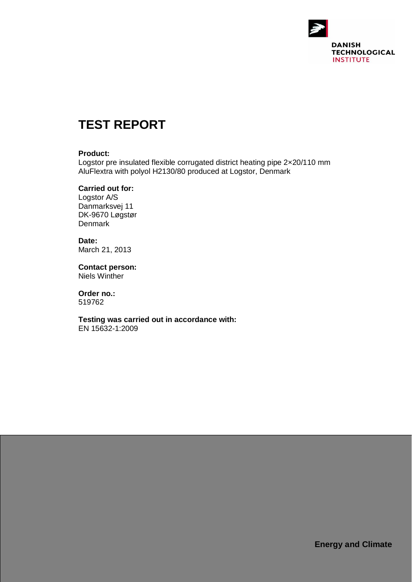

# **TEST REPORT**

#### **Product:**

Logstor pre insulated flexible corrugated district heating pipe 2×20/110 mm AluFlextra with polyol H2130/80 produced at Logstor, Denmark

#### **Carried out for:**

Logstor A/S Danmarksvej 11 DK-9670 Løgstør **Denmark** 

**Date:** March 21, 2013

**Contact person:** Niels Winther

**Order no.:** 519762

**Testing was carried out in accordance with:** EN 15632-1:2009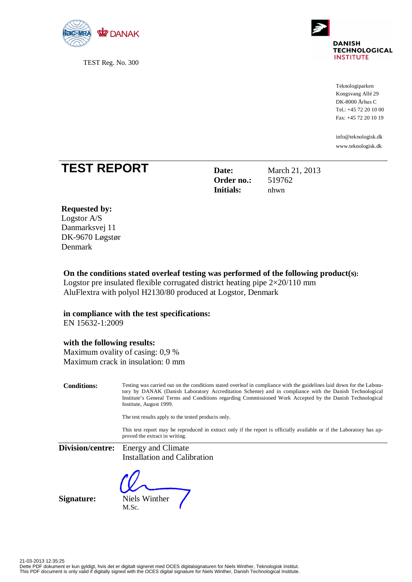

TEST Reg. No. 300



Teknologiparken Kongsvang Allé 29 DK-8000 Århus C Tel.: +45 72 20 10 00 Fax: +45 72 20 10 19

[info@teknologisk.dk](mailto:info@teknologisk.dk) <www.teknologisk.dk>

## **TEST REPORT Date:** March 21, 2013

**Order no.:** 519762 **Initials:** nhwn

#### **Requested by:**

Logstor A/S Danmarksvej 11 DK-9670 Løgstør Denmark

### **On the conditions stated overleaf testing was performed of the following product(s):**

Logstor pre insulated flexible corrugated district heating pipe  $2\times20/110$  mm AluFlextra with polyol H2130/80 produced at Logstor, Denmark

#### **in compliance with the test specifications:**

EN 15632-1:2009

#### **with the following results:**

Maximum ovality of casing: 0,9 % Maximum crack in insulation: 0 mm

**Conditions:** Testing was carried out on the conditions stated overleaf in compliance with the guidelines laid down for the Laboratory by DANAK (Danish Laboratory Accreditation Scheme) and in compliance with the Danish Technological Institute's General Terms and Conditions regarding Commissioned Work Accepted by the Danish Technological Institute, August 1999.

The test results apply to the tested products only.

This test report may be reproduced in extract only if the report is officially available or if the Laboratory has approved the extract in writing.

**Division/centre:** Energy and Climate Installation and Calibration

**Signature:** Niels Winther

M.Sc.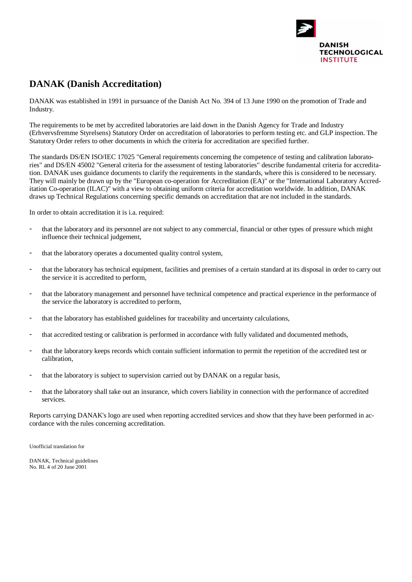

## **DANAK (Danish Accreditation)**

DANAK was established in 1991 in pursuance of the Danish Act No. 394 of 13 June 1990 on the promotion of Trade and Industry.

The requirements to be met by accredited laboratories are laid down in the Danish Agency for Trade and Industry (Erhvervsfremme Styrelsens) Statutory Order on accreditation of laboratories to perform testing etc. and GLP inspection. The Statutory Order refers to other documents in which the criteria for accreditation are specified further.

The standards DS/EN ISO/IEC 17025 "General requirements concerning the competence of testing and calibration laboratories" and DS/EN 45002 "General criteria for the assessment of testing laboratories" describe fundamental criteria for accreditation. DANAK uses guidance documents to clarify the requirements in the standards, where this is considered to be necessary. They will mainly be drawn up by the "European co-operation for Accreditation (EA)" or the "International Laboratory Accreditation Co-operation (ILAC)" with a view to obtaining uniform criteria for accreditation worldwide. In addition, DANAK draws up Technical Regulations concerning specific demands on accreditation that are not included in the standards.

In order to obtain accreditation it is i.a. required:

- that the laboratory and its personnel are not subject to any commercial, financial or other types of pressure which might influence their technical judgement,
- that the laboratory operates a documented quality control system,
- that the laboratory has technical equipment, facilities and premises of a certain standard at its disposal in order to carry out the service it is accredited to perform,
- that the laboratory management and personnel have technical competence and practical experience in the performance of the service the laboratory is accredited to perform,
- that the laboratory has established guidelines for traceability and uncertainty calculations,
- that accredited testing or calibration is performed in accordance with fully validated and documented methods,
- that the laboratory keeps records which contain sufficient information to permit the repetition of the accredited test or calibration,
- that the laboratory is subject to supervision carried out by DANAK on a regular basis,
- that the laboratory shall take out an insurance, which covers liability in connection with the performance of accredited services.

Reports carrying DANAK's logo are used when reporting accredited services and show that they have been performed in accordance with the rules concerning accreditation.

Unofficial translation for

DANAK, Technical guidelines No. RL 4 of 20 June 2001